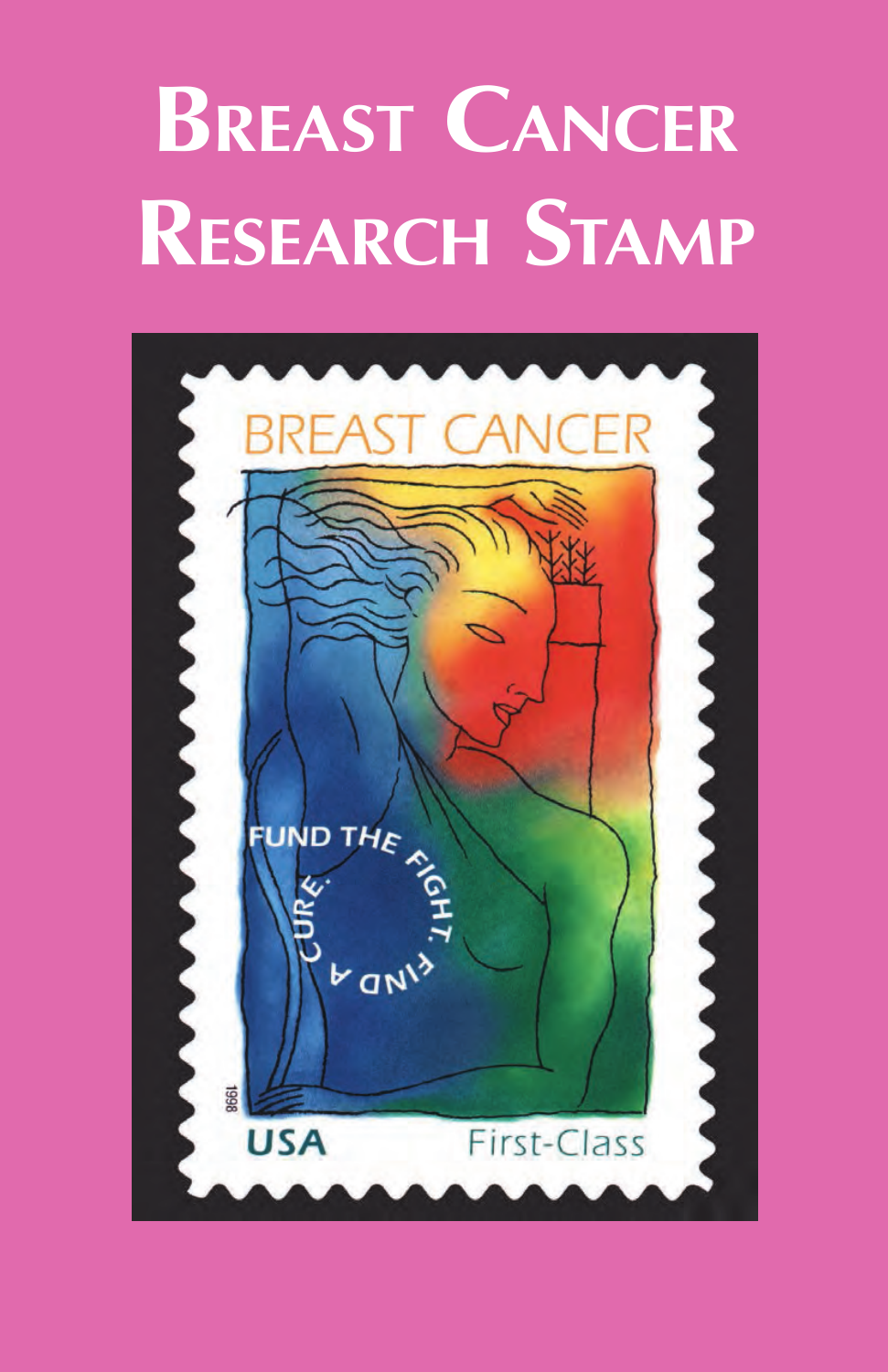# **Breast Cancer Research Stamp**

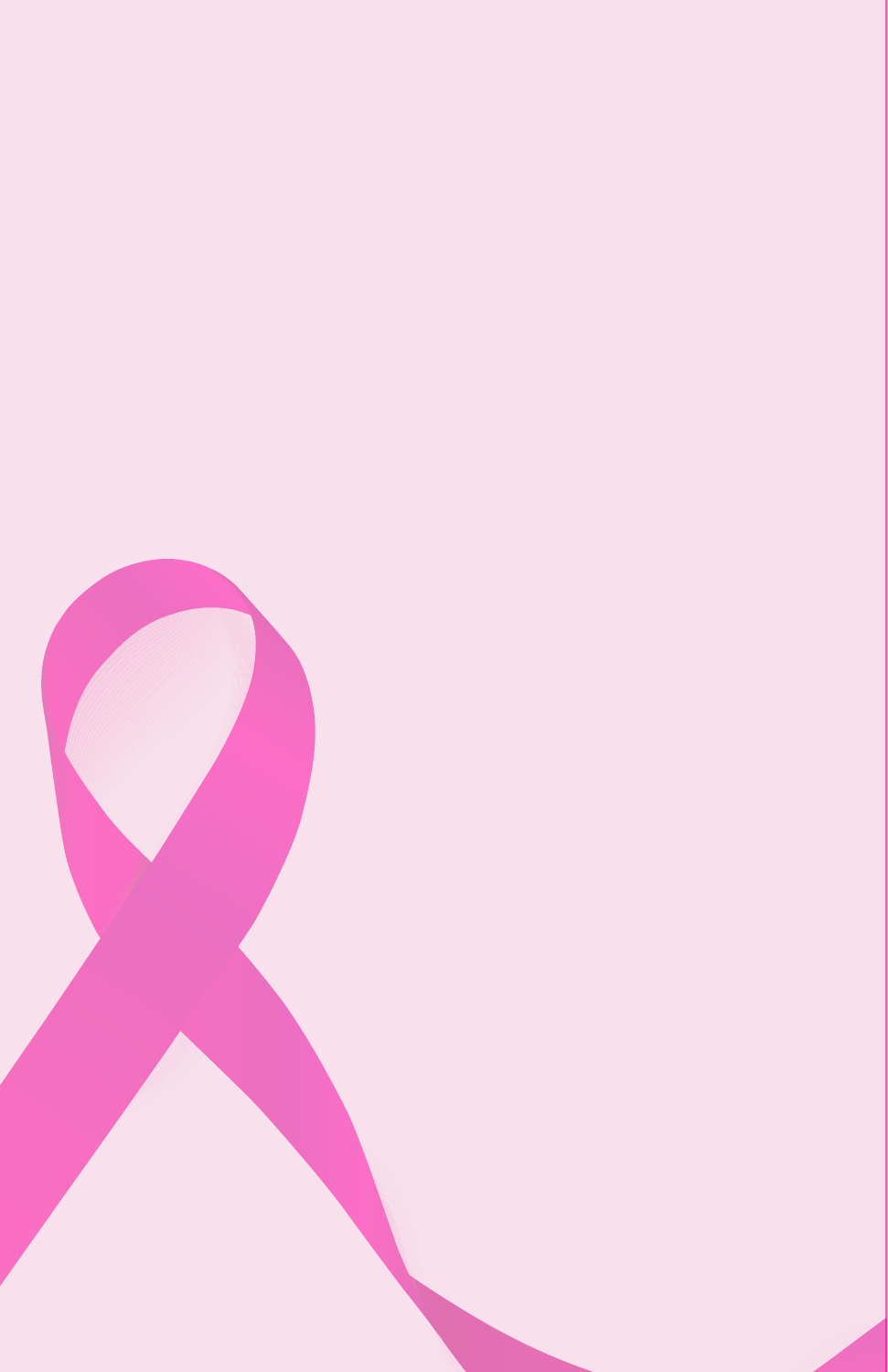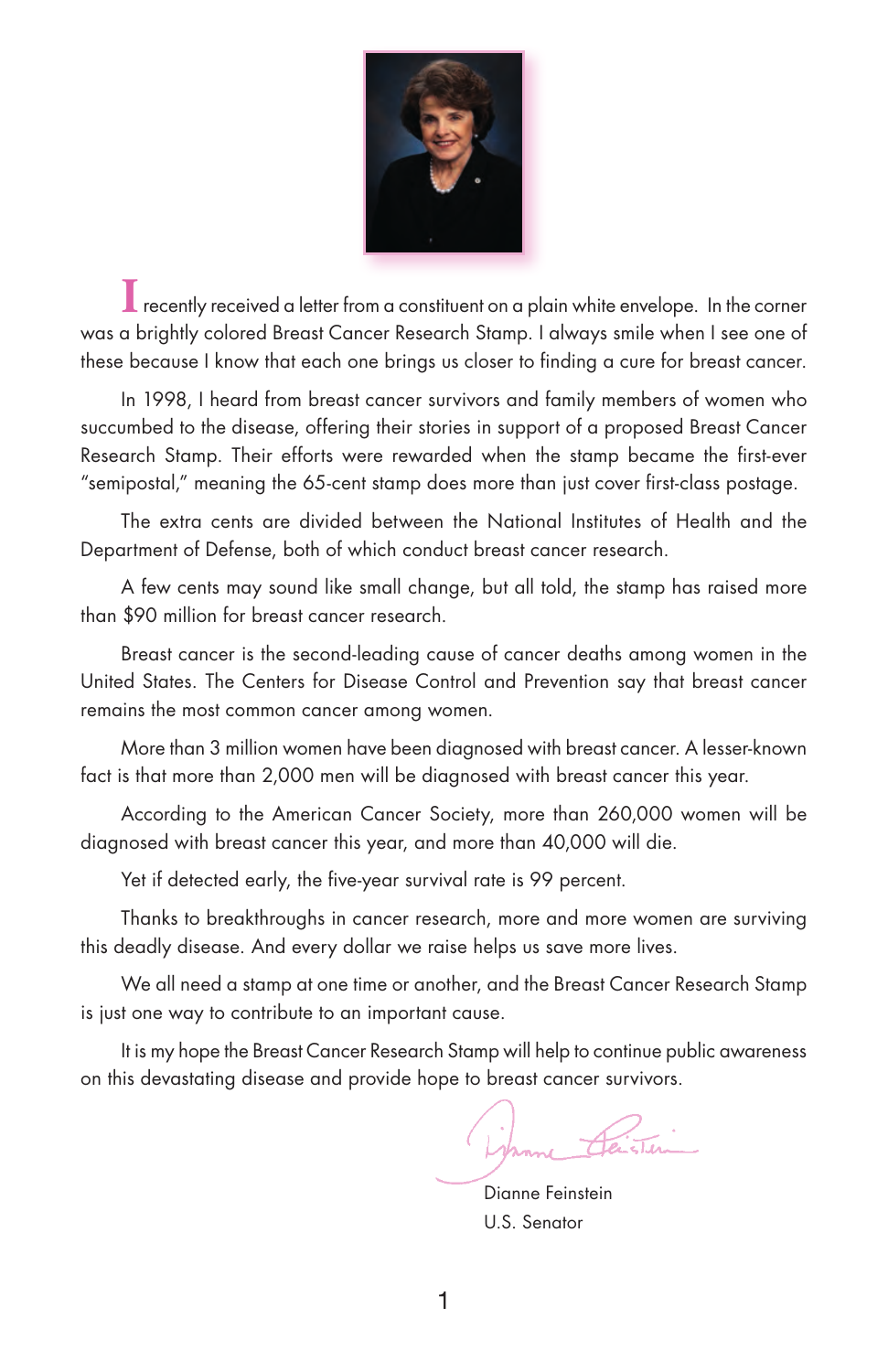

**I** recently received a letter from a constituent on a plain white envelope. In the corner was a brightly colored Breast Cancer Research Stamp. I always smile when I see one of these because I know that each one brings us closer to finding a cure for breast cancer.

In 1998, I heard from breast cancer survivors and family members of women who succumbed to the disease, offering their stories in support of a proposed Breast Cancer Research Stamp. Their efforts were rewarded when the stamp became the first-ever "semipostal," meaning the 65-cent stamp does more than just cover first-class postage.

The extra cents are divided between the National Institutes of Health and the Department of Defense, both of which conduct breast cancer research.

A few cents may sound like small change, but all told, the stamp has raised more than \$90 million for breast cancer research.

Breast cancer is the second-leading cause of cancer deaths among women in the United States. The Centers for Disease Control and Prevention say that breast cancer remains the most common cancer among women.

More than 3 million women have been diagnosed with breast cancer. A lesser-known fact is that more than 2,000 men will be diagnosed with breast cancer this year.

According to the American Cancer Society, more than 260,000 women will be diagnosed with breast cancer this year, and more than 40,000 will die.

Yet if detected early, the five-year survival rate is 99 percent.

Thanks to breakthroughs in cancer research, more and more women are surviving this deadly disease. And every dollar we raise helps us save more lives.

We all need a stamp at one time or another, and the Breast Cancer Research Stamp is just one way to contribute to an important cause.

It is my hope the Breast Cancer Research Stamp will help to continue public awareness on this devastating disease and provide hope to breast cancer survivors.

 Dianne Feinstein U.S. Senator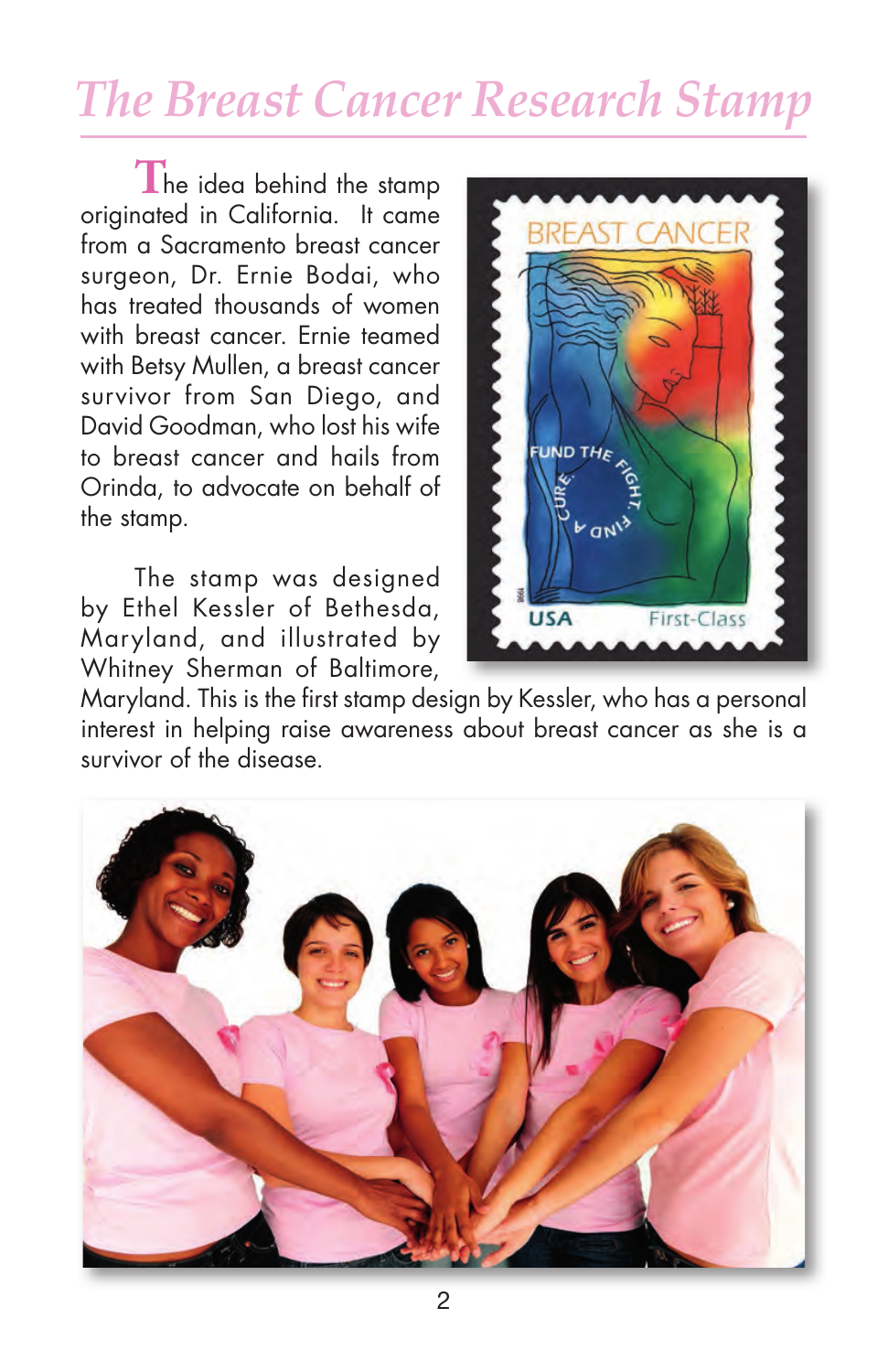#### *The Breast Cancer Research Stamp*

**T**he idea behind the stamp originated in California. It came from a Sacramento breast cancer surgeon, Dr. Ernie Bodai, who has treated thousands of women with breast cancer. Ernie teamed with Betsy Mullen, a breast cancer survivor from San Diego, and David Goodman, who lost his wife to breast cancer and hails from Orinda, to advocate on behalf of the stamp.

The stamp was designed by Ethel Kessler of Bethesda, Maryland, and illustrated by Whitney Sherman of Baltimore,



Maryland. This is the first stamp design by Kessler, who has a personal interest in helping raise awareness about breast cancer as she is a survivor of the disease.

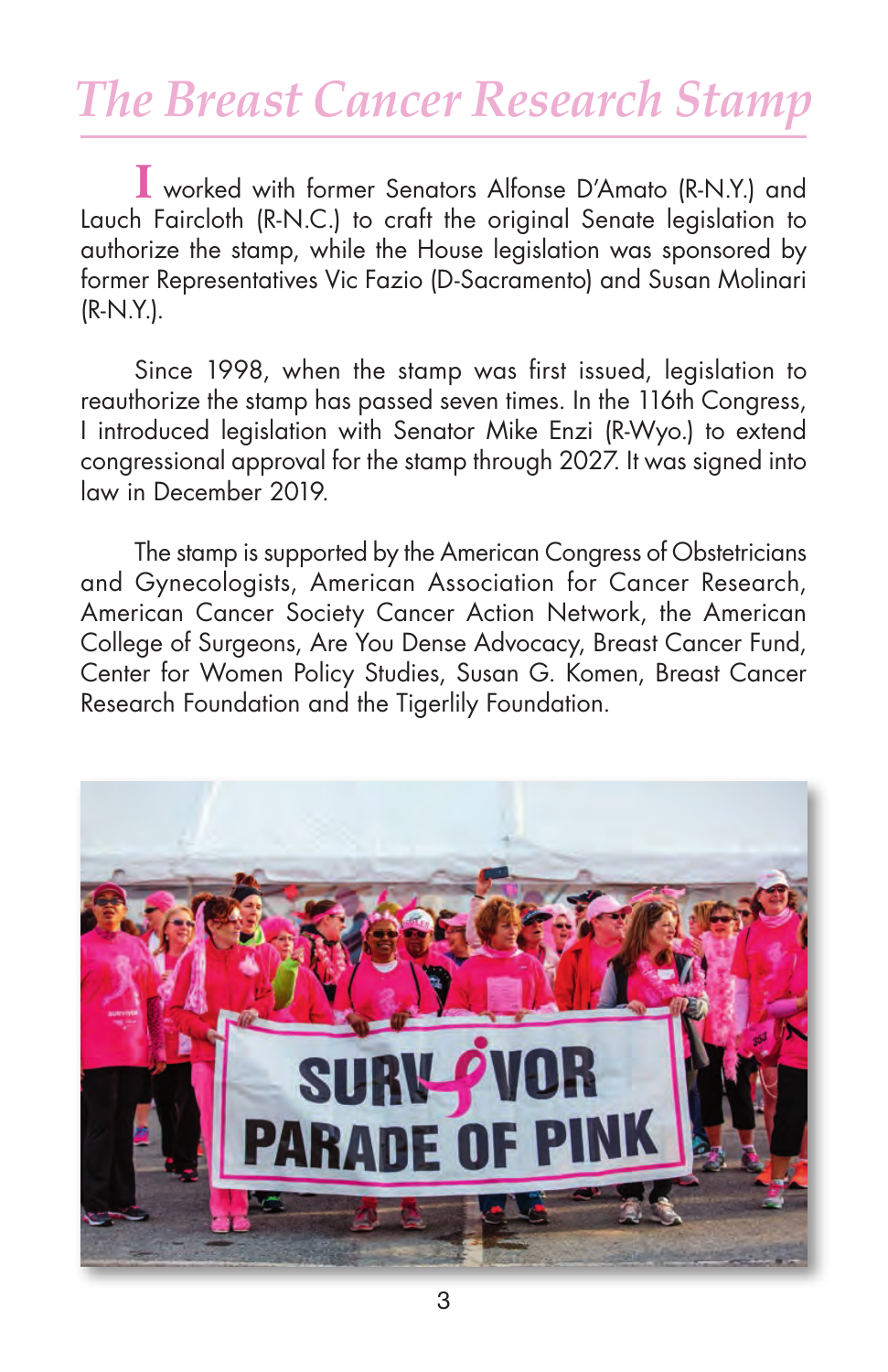### *The Breast Cancer Research Stamp*

**I** worked with former Senators Alfonse D'Amato (R-N.Y.) and Lauch Faircloth (R-N.C.) to craft the original Senate legislation to authorize the stamp, while the House legislation was sponsored by former Representatives Vic Fazio (D-Sacramento) and Susan Molinari (R-N.Y.).

Since 1998, when the stamp was first issued, legislation to reauthorize the stamp has passed seven times. In the 116th Congress, I introduced legislation with Senator Mike Enzi (R-Wyo.) to extend congressional approval for the stamp through 2027. It was signed into law in December 2019.

The stamp is supported by the American Congress of Obstetricians and Gynecologists, American Association for Cancer Research, American Cancer Society Cancer Action Network, the American College of Surgeons, Are You Dense Advocacy, Breast Cancer Fund, Center for Women Policy Studies, Susan G. Komen, Breast Cancer Research Foundation and the Tigerlily Foundation.

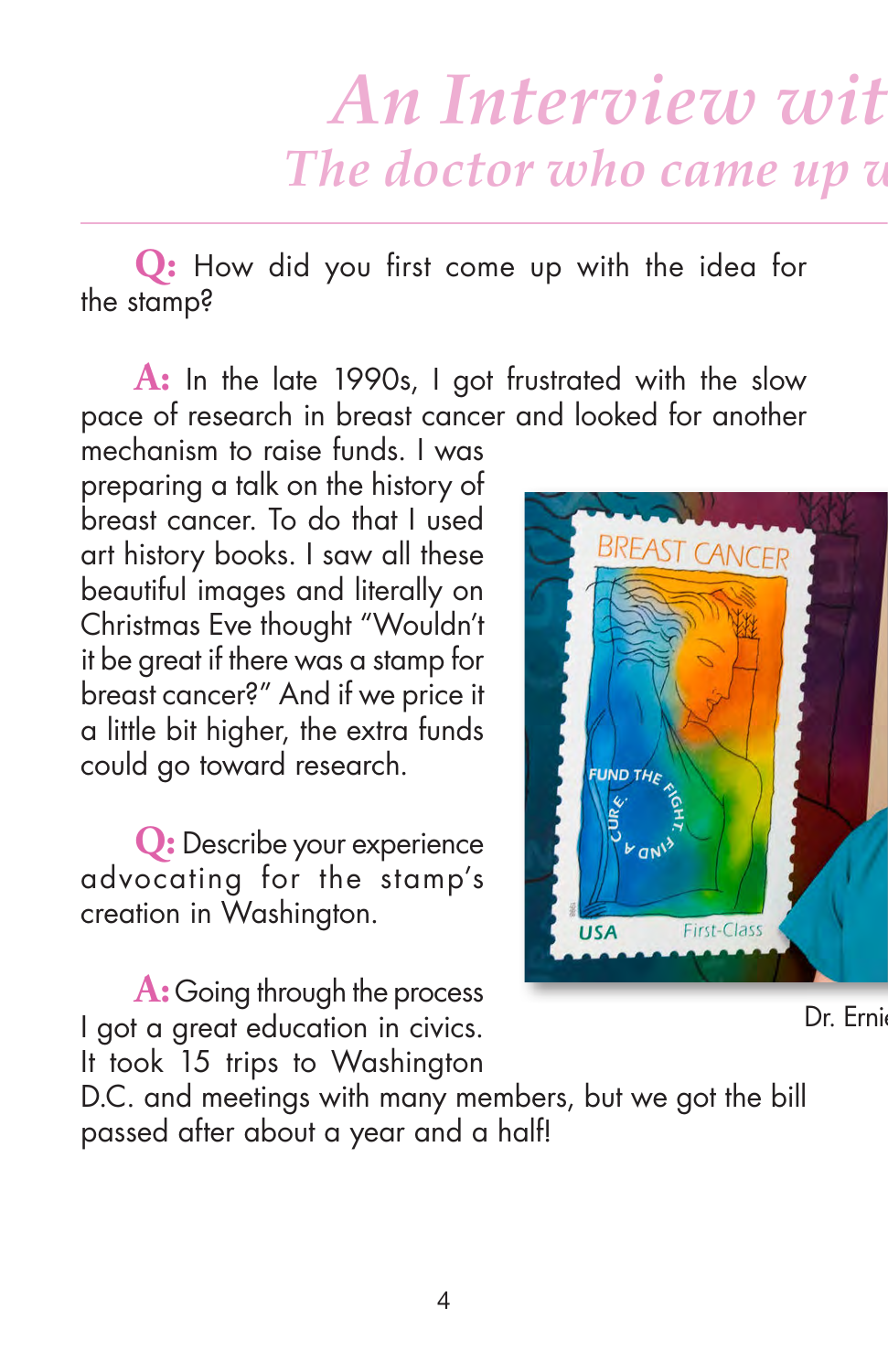## *An Interview with Dr. Ernie Bodai The doctor who came up*  $u$

**Q:** How did you first come up with the idea for the stamp?

**A:** In the late 1990s, I got frustrated with the slow pace of research in breast cancer and looked for another

mechanism to raise funds. I was preparing a talk on the history of breast cancer. To do that I used art history books. I saw all these beautiful images and literally on Christmas Eve thought "Wouldn't it be great if there was a stamp for breast cancer?" And if we price it a little bit higher, the extra funds could go toward research.

**Q:** Describe your experience advocating for the stamp's creation in Washington.

**A:** Going through the process I got a great education in civics. It took 15 trips to Washington



Dr. Ernie

D.C. and meetings with many members, but we got the bill passed after about a year and a half!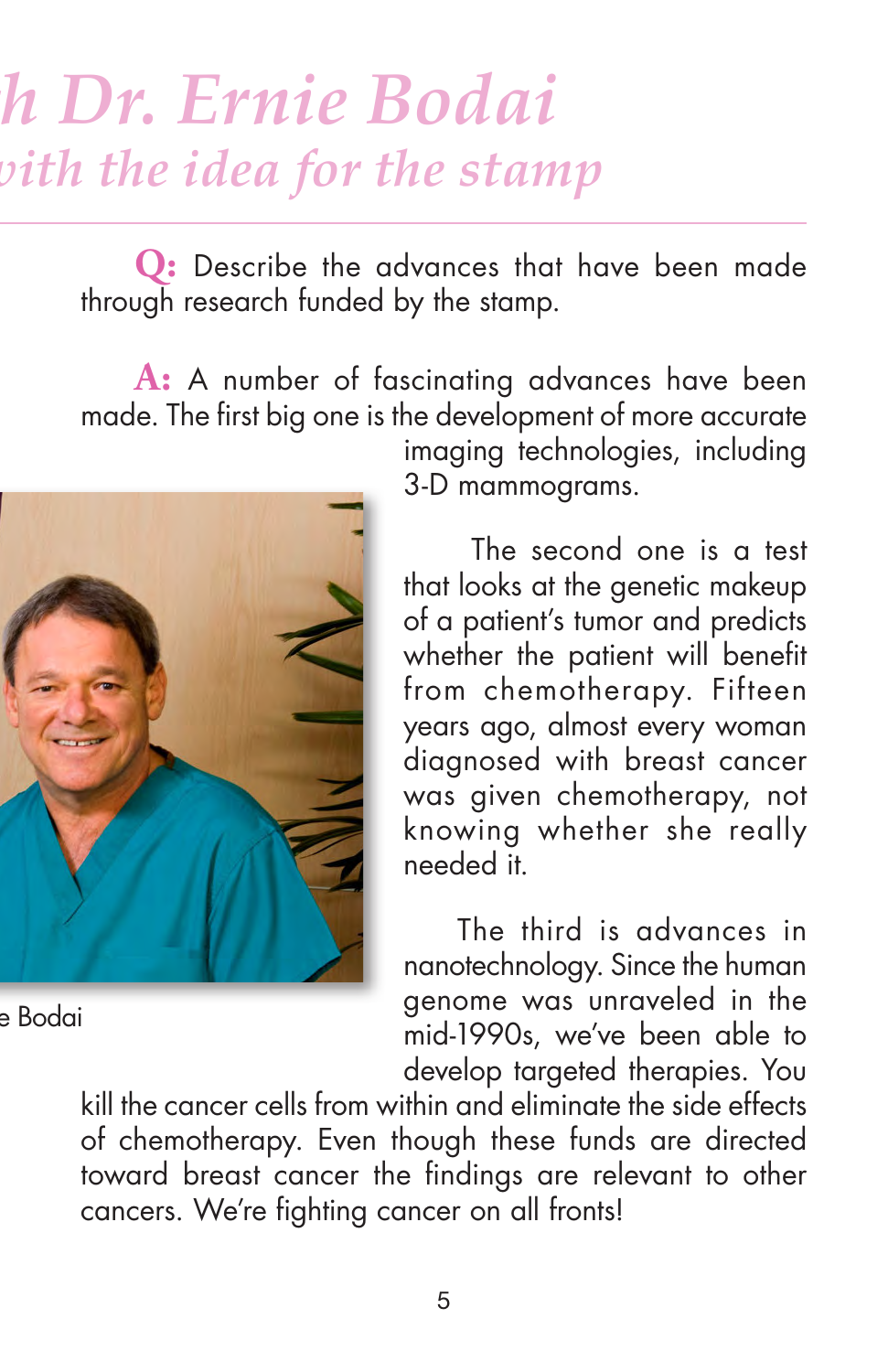## *An Interview with Dr. Ernie Bodai The doctor who came up with the idea for the stamp*

**Q:** Describe the advances that have been made through research funded by the stamp.

**A:** A number of fascinating advances have been made. The first big one is the development of more accurate



e Bodai

imaging technologies, including 3-D mammograms.

 The second one is a test that looks at the genetic makeup of a patient's tumor and predicts whether the patient will benefit from chemotherapy. Fifteen years ago, almost every woman diagnosed with breast cancer was given chemotherapy, not knowing whether she really needed it.

The third is advances in nanotechnology. Since the human genome was unraveled in the mid-1990s, we've been able to develop targeted therapies. You

kill the cancer cells from within and eliminate the side effects of chemotherapy. Even though these funds are directed toward breast cancer the findings are relevant to other cancers. We're fighting cancer on all fronts!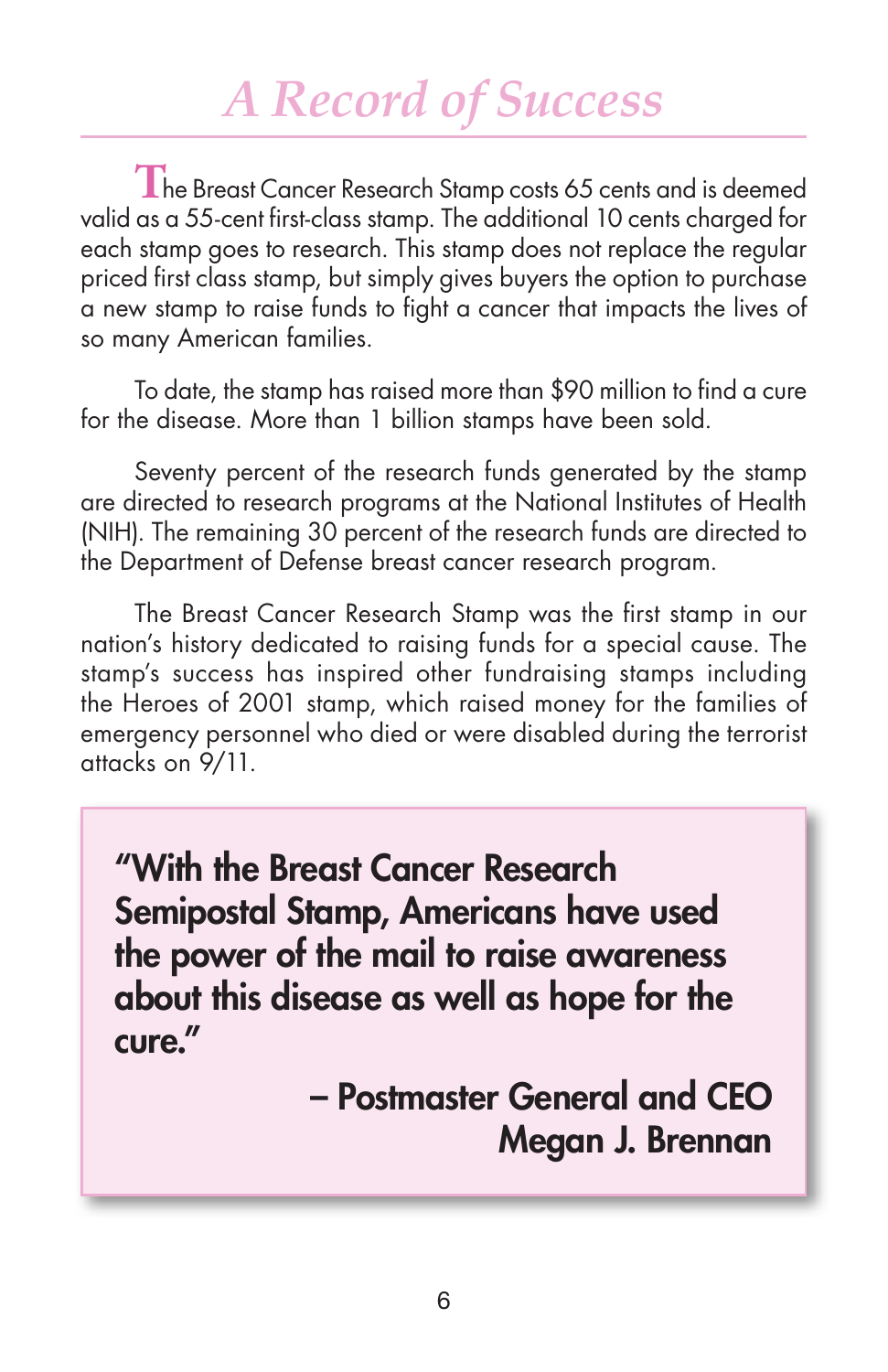## *A Record of Success*

**The Breast Cancer Research Stamp costs 65 cents and is deemed** valid as a 55-cent first-class stamp. The additional 10 cents charged for each stamp goes to research. This stamp does not replace the regular priced first class stamp, but simply gives buyers the option to purchase a new stamp to raise funds to fight a cancer that impacts the lives of so many American families.

To date, the stamp has raised more than \$90 million to find a cure for the disease. More than 1 billion stamps have been sold.

Seventy percent of the research funds generated by the stamp are directed to research programs at the National Institutes of Health (NIH). The remaining 30 percent of the research funds are directed to the Department of Defense breast cancer research program.

The Breast Cancer Research Stamp was the first stamp in our nation's history dedicated to raising funds for a special cause. The stamp's success has inspired other fundraising stamps including the Heroes of 2001 stamp, which raised money for the families of emergency personnel who died or were disabled during the terrorist attacks on 9/11.

"With the Breast Cancer Research Semipostal Stamp, Americans have used the power of the mail to raise awareness about this disease as well as hope for the cure."

> – Postmaster General and CEO Megan J. Brennan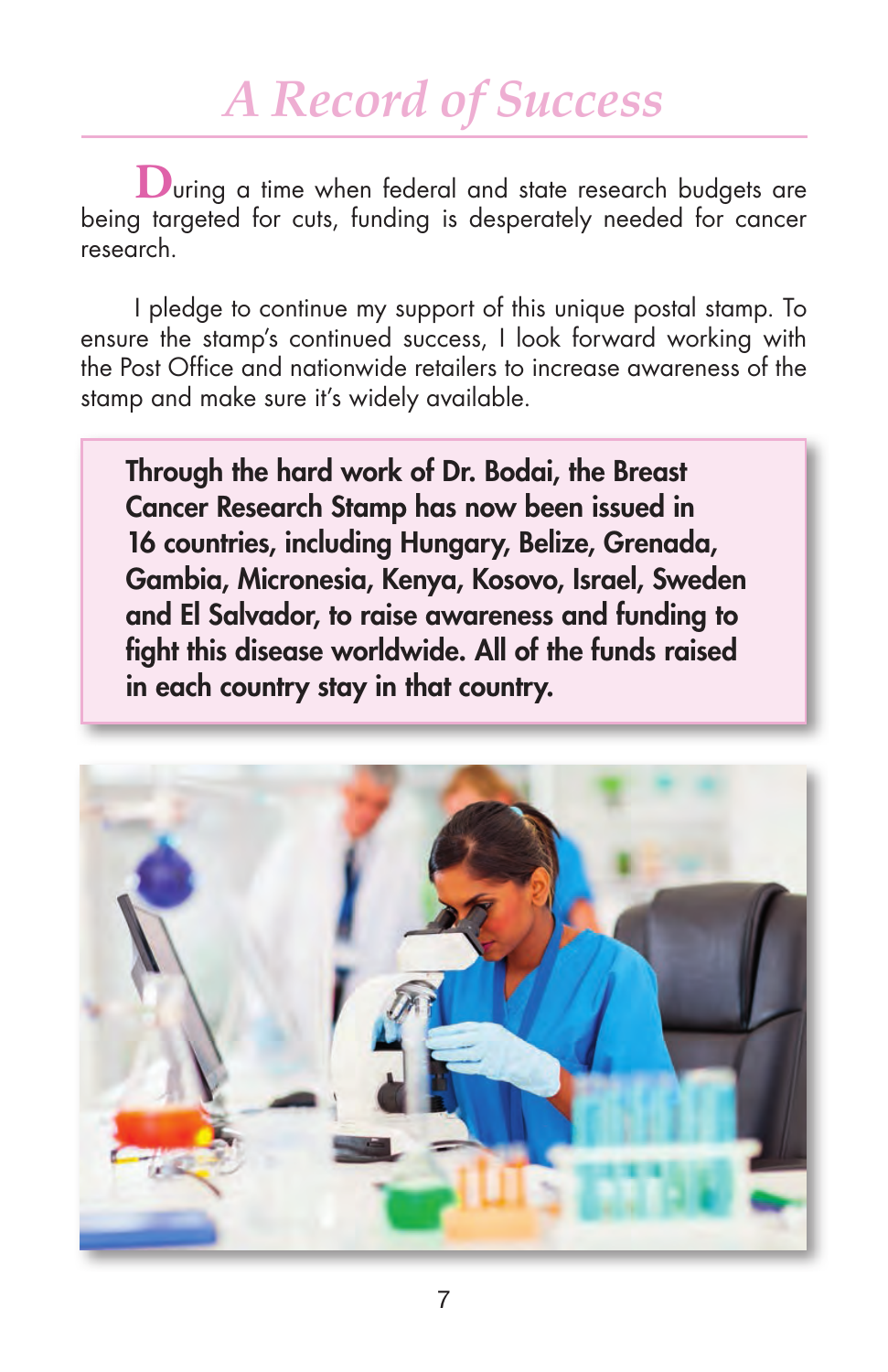## *A Record of Success*

**D**uring a time when federal and state research budgets are being targeted for cuts, funding is desperately needed for cancer research.

I pledge to continue my support of this unique postal stamp. To ensure the stamp's continued success, I look forward working with the Post Office and nationwide retailers to increase awareness of the stamp and make sure it's widely available.

Through the hard work of Dr. Bodai, the Breast Cancer Research Stamp has now been issued in 16 countries, including Hungary, Belize, Grenada, Gambia, Micronesia, Kenya, Kosovo, Israel, Sweden and El Salvador, to raise awareness and funding to fight this disease worldwide. All of the funds raised in each country stay in that country.

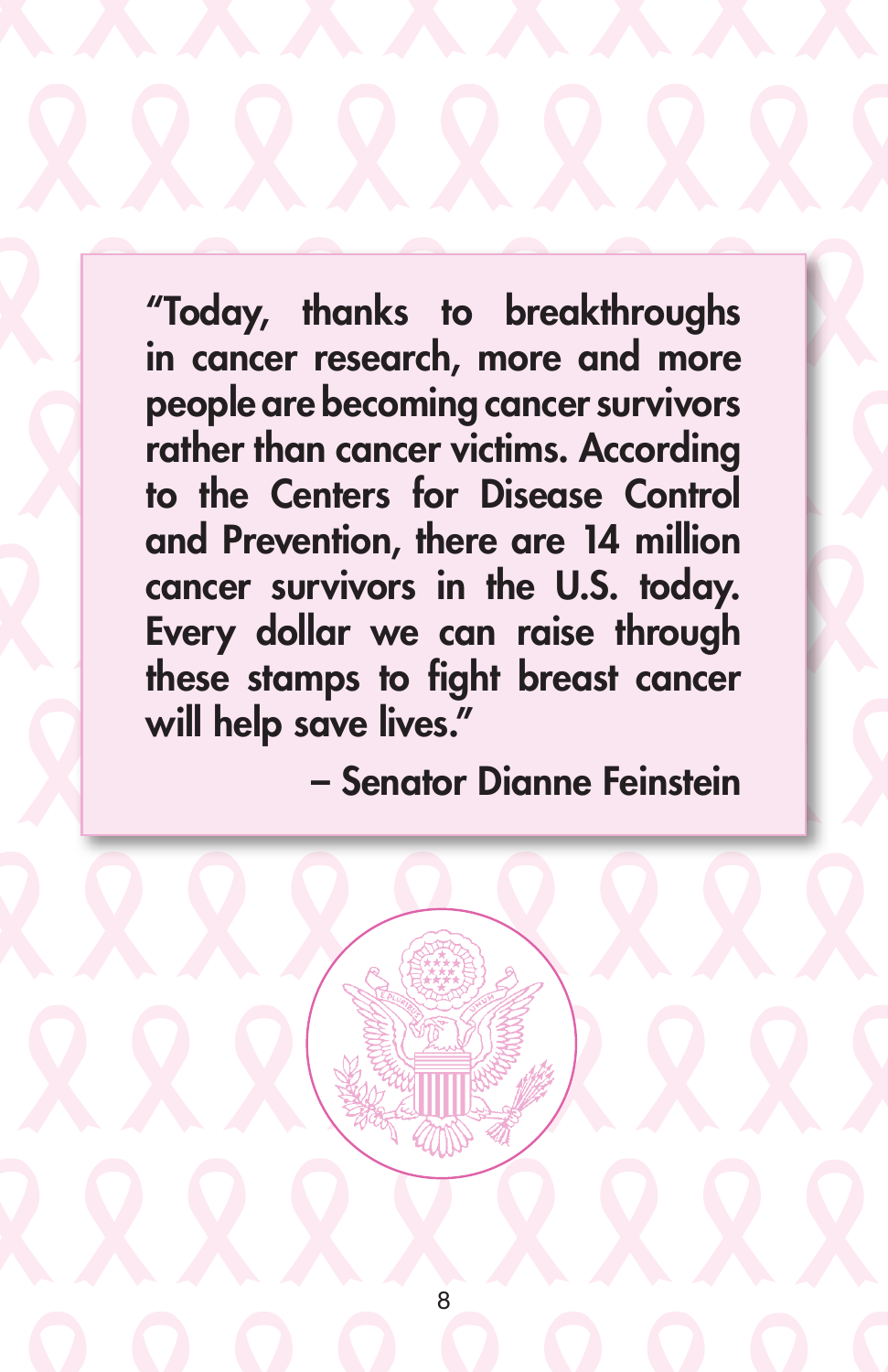"Today, thanks to breakthroughs in cancer research, more and more people are becoming cancer survivors rather than cancer victims. According to the Centers for Disease Control and Prevention, there are 14 million cancer survivors in the U.S. today. Every dollar we can raise through these stamps to fight breast cancer will help save lives."

– Senator Dianne Feinstein

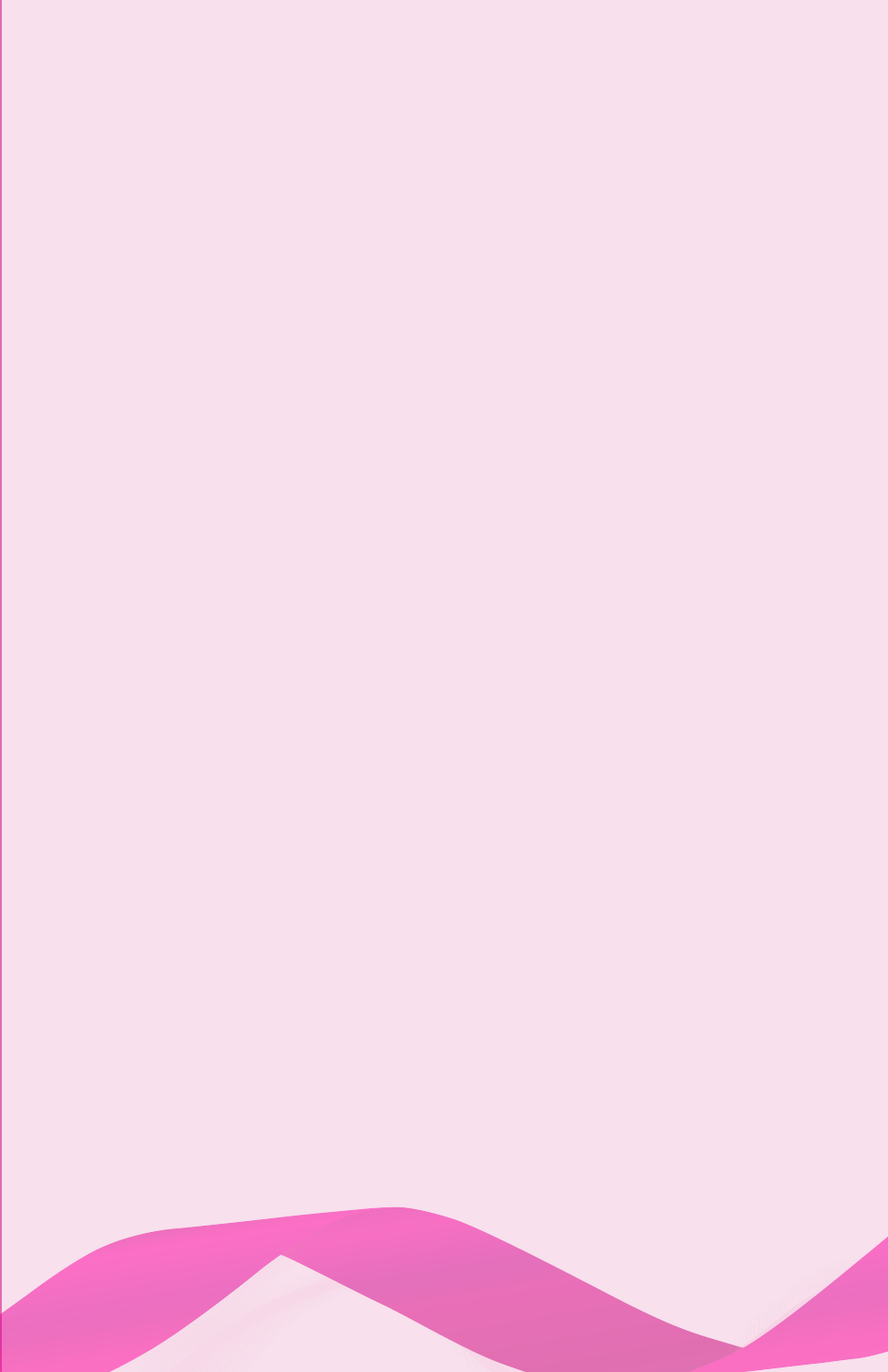